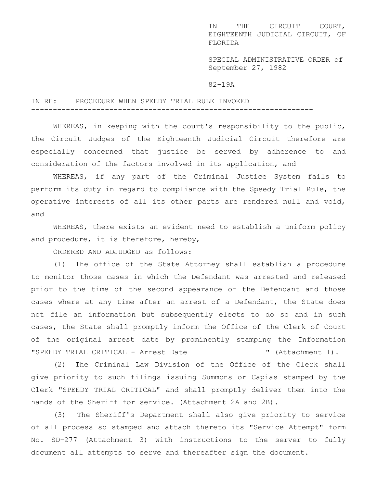IN THE CIRCUIT COURT, EIGHTEENTH JUDICIAL CIRCUIT, OF FLORIDA

SPECIAL ADMINISTRATIVE ORDER of September 27, 1982

82-19A

## IN RE: PROCEDURE WHEN SPEEDY TRIAL RULE INVOKED

WHEREAS, in keeping with the court's responsibility to the public, the Circuit Judges of the Eighteenth Judicial Circuit therefore are especially concerned that justice be served by adherence to and consideration of the factors involved in its application, and

-----------------------------------------------------------------

WHEREAS, if any part of the Criminal Justice System fails to perform its duty in regard to compliance with the Speedy Trial Rule, the operative interests of all its other parts are rendered null and void, and

WHEREAS, there exists an evident need to establish a uniform policy and procedure, it is therefore, hereby,

ORDERED AND ADJUDGED as follows:

(1) The office of the State Attorney shall establish a procedure to monitor those cases in which the Defendant was arrested and released prior to the time of the second appearance of the Defendant and those cases where at any time after an arrest of a Defendant, the State does not file an information but subsequently elects to do so and in such cases, the State shall promptly inform the Office of the Clerk of Court of the original arrest date by prominently stamping the Information "SPEEDY TRIAL CRITICAL - Arrest Date \_\_\_\_\_\_\_\_\_\_\_\_\_\_\_ " (Attachment 1).

(2) The Criminal Law Division of the Office of the Clerk shall give priority to such filings issuing Summons or Capias stamped by the Clerk "SPEEDY TRIAL CRITICAL" and shall promptly deliver them into the hands of the Sheriff for service. (Attachment 2A and 2B).

(3) The Sheriff's Department shall also give priority to service of all process so stamped and attach thereto its "Service Attempt" form No. SD-277 (Attachment 3) with instructions to the server to fully document all attempts to serve and thereafter sign the document.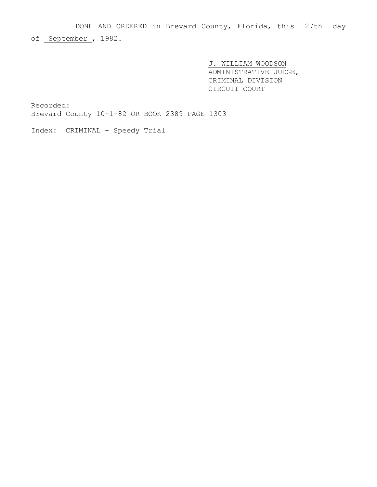DONE AND ORDERED in Brevard County, Florida, this 27th day

of September , 1982.

J. WILLIAM WOODSON ADMINISTRATIVE JUDGE, CRIMINAL DIVISION CIRCUIT COURT

Recorded: Brevard County 10-1-82 OR BOOK 2389 PAGE 1303

Index: CRIMINAL - Speedy Trial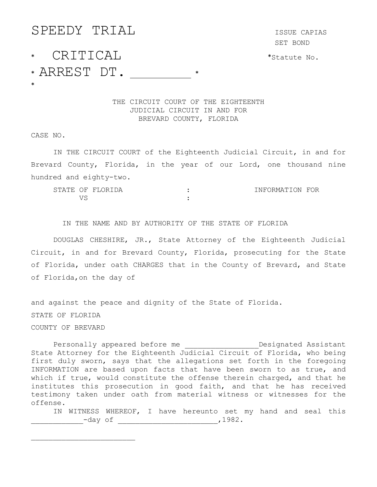## SPEEDY TRIAL ISSUE CAPIAS \* CRITICAL \*Statute No. \* ARREST DT. \_\_\_\_\_\_\_\_ \* \*

SET BOND

THE CIRCUIT COURT OF THE EIGHTEENTH JUDICIAL CIRCUIT IN AND FOR BREVARD COUNTY, FLORIDA

CASE NO.

\_\_\_\_\_\_\_\_\_\_\_\_\_\_\_\_\_\_\_\_\_\_\_\_

IN THE CIRCUIT COURT of the Eighteenth Judicial Circuit, in and for Brevard County, Florida, in the year of our Lord, one thousand nine hundred and eighty-two.

|  | STATE OF FLORIDA | INFORMATION FOR |  |
|--|------------------|-----------------|--|
|  |                  |                 |  |

IN THE NAME AND BY AUTHORITY OF THE STATE OF FLORIDA

DOUGLAS CHESHIRE, JR., State Attorney of the Eighteenth Judicial Circuit, in and for Brevard County, Florida, prosecuting for the State of Florida, under oath CHARGES that in the County of Brevard, and State of Florida,on the day of

and against the peace and dignity of the State of Florida. STATE OF FLORIDA COUNTY OF BREVARD

Personally appeared before me example in the Designated Assistant State Attorney for the Eighteenth Judicial Circuit of Florida, who being first duly sworn, says that the allegations set forth in the foregoing INFORMATION are based upon facts that have been sworn to as true, and which if true, would constitute the offense therein charged, and that he institutes this prosecution in good faith, and that he has received testimony taken under oath from material witness or witnesses for the offense.

IN WITNESS WHEREOF, I have hereunto set my hand and seal this \_\_\_\_\_\_\_\_\_\_\_\_-day of \_\_\_\_\_\_\_\_\_\_\_\_\_\_\_\_\_\_\_\_\_\_\_,1982.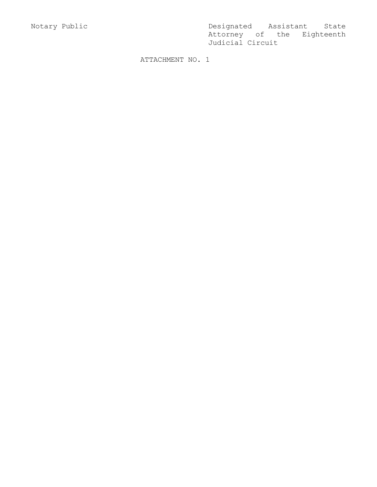Notary Public Designated Assistant State Attorney of the Eighteenth Judicial Circuit

ATTACHMENT NO. 1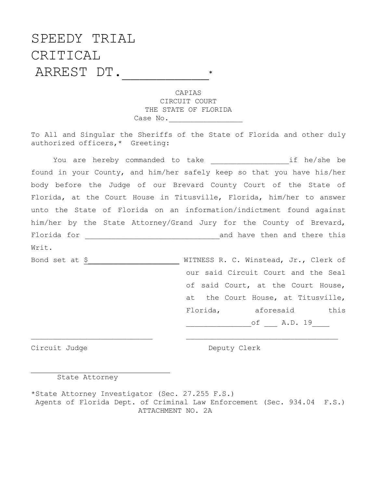## SPEEDY TRIAL CRITICAL ARREST DT.\_\_\_\_\_\_\_\_\_\_\*

CAPIAS CIRCUIT COURT THE STATE OF FLORIDA Case No.\_\_\_\_\_\_\_\_\_\_\_\_\_\_\_\_\_

To All and Singular the Sheriffs of the State of Florida and other duly authorized officers,\* Greeting:

You are hereby commanded to take extractional if he/she be found in your County, and him/her safely keep so that you have his/her body before the Judge of our Brevard County Court of the State of Florida, at the Court House in Titusville, Florida, him/her to answer unto the State of Florida on an information/indictment found against him/her by the State Attorney/Grand Jury for the County of Brevard, Florida for \_\_\_\_\_\_\_\_\_\_\_\_\_\_\_\_\_\_\_\_\_\_\_\_\_\_\_\_\_\_\_and have then and there this Writ. Bond set at  $\frac{S}{S}$  \_\_\_\_\_\_\_\_\_\_\_\_\_\_\_\_\_\_\_\_\_\_\_\_\_\_\_ WITNESS R. C. Winstead, Jr., Clerk of our said Circuit Court and the Seal of said Court, at the Court House, at the Court House, at Titusville, Florida, aforesaid this

of A.D. 19

Circuit Judge Deputy Clerk

j.

State Attorney

\*State Attorney Investigator (Sec. 27.255 F.S.) Agents of Florida Dept. of Criminal Law Enforcement (Sec. 934.04 F.S.) ATTACHMENT NO. 2A

\_\_\_\_\_\_\_\_\_\_\_\_\_\_\_\_\_\_\_\_\_\_\_\_\_\_\_\_ \_\_\_\_\_\_\_\_\_\_\_\_\_\_\_\_\_\_\_\_\_\_\_\_\_\_\_\_\_\_\_\_\_\_\_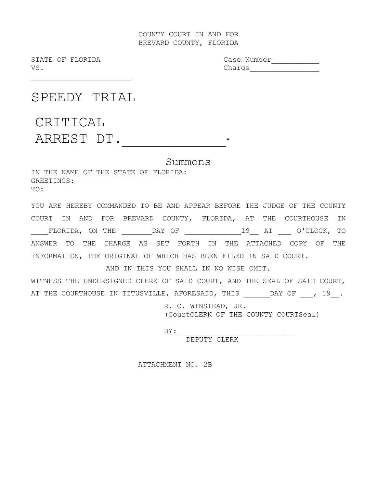## COUNTY COURT IN AND FOR BREVARD COUNTY, FLORIDA

STATE OF FLORIDA Case Number<br>VS. Charge Charge

SPEEDY TRIAL

\_\_\_\_\_\_\_\_\_\_\_\_\_\_\_\_\_\_\_\_\_\_\_

CRITICAL ARREST DT.\_\_\_\_\_\_\_\_\_\_\_\_\*

Summons

IN THE NAME OF THE STATE OF FLORIDA: GREETINGS: TO:

YOU ARE HEREBY COMMANDED TO BE AND APPEAR BEFORE THE JUDGE OF THE COUNTY COURT IN AND FOR BREVARD COUNTY, FLORIDA, AT THE COURTHOUSE IN \_\_\_\_FLORIDA, ON THE \_\_\_\_\_\_\_DAY OF \_\_\_\_\_\_\_\_\_\_\_\_\_19\_\_ AT \_\_\_ O'CLOCK, TO ANSWER TO THE CHARGE AS SET FORTH IN THE ATTACHED COPY OF THE INFORMATION, THE ORIGINAL OF WHICH HAS BEEN FILED IN SAID COURT.

AND IN THIS YOU SHALL IN NO WISE OMIT.

WITNESS THE UNDERSIGNED CLERK OF SAID COURT, AND THE SEAL OF SAID COURT, AT THE COURTHOUSE IN TITUSVILLE, AFORESAID, THIS \_\_\_\_\_\_DAY OF \_\_\_, 19\_\_.

> R. C. WINSTEAD, JR. (CourtCLERK OF THE COUNTY COURTSeal)

 $BY:$ 

DEPUTY CLERK

ATTACHMENT NO. 2B